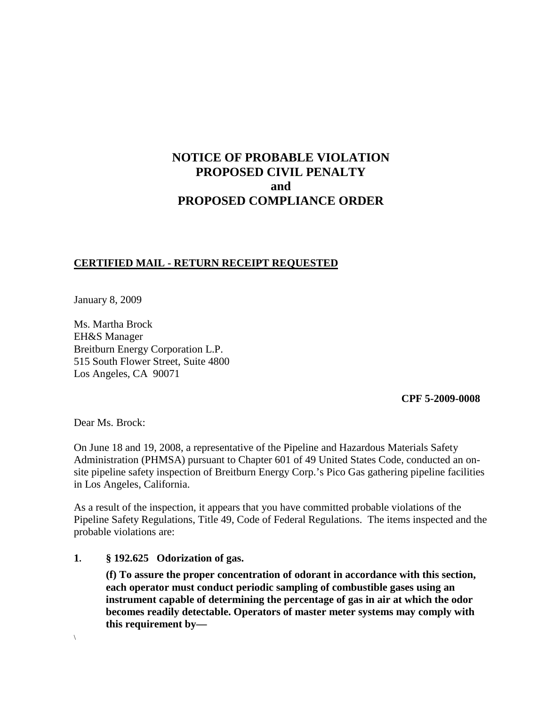# **NOTICE OF PROBABLE VIOLATION PROPOSED CIVIL PENALTY and PROPOSED COMPLIANCE ORDER**

## **CERTIFIED MAIL - RETURN RECEIPT REQUESTED**

January 8, 2009

Ms. Martha Brock EH&S Manager Breitburn Energy Corporation L.P. 515 South Flower Street, Suite 4800 Los Angeles, CA 90071

 **CPF 5-2009-0008**

Dear Ms. Brock:

On June 18 and 19, 2008, a representative of the Pipeline and Hazardous Materials Safety Administration (PHMSA) pursuant to Chapter 601 of 49 United States Code, conducted an onsite pipeline safety inspection of Breitburn Energy Corp.'s Pico Gas gathering pipeline facilities in Los Angeles, California.

As a result of the inspection, it appears that you have committed probable violations of the Pipeline Safety Regulations, Title 49, Code of Federal Regulations. The items inspected and the probable violations are:

#### **1. § 192.625 Odorization of gas.**

**(f) To assure the proper concentration of odorant in accordance with this section, each operator must conduct periodic sampling of combustible gases using an instrument capable of determining the percentage of gas in air at which the odor becomes readily detectable. Operators of master meter systems may comply with this requirement by—**

 $\setminus$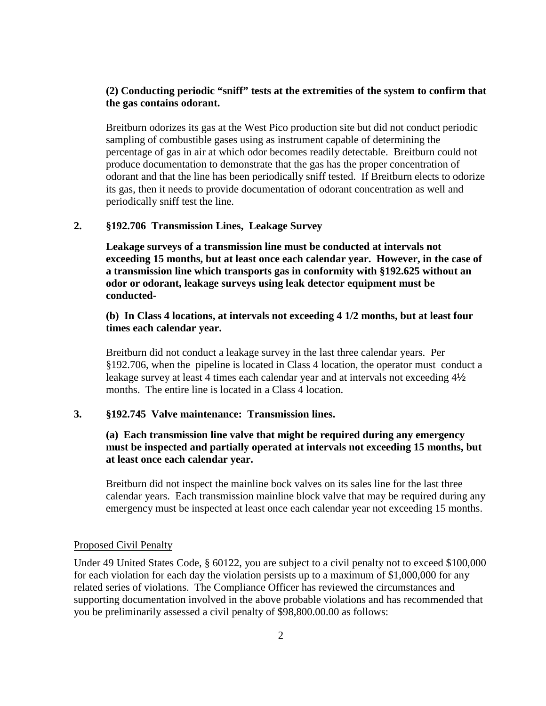## **(2) Conducting periodic "sniff" tests at the extremities of the system to confirm that the gas contains odorant.**

Breitburn odorizes its gas at the West Pico production site but did not conduct periodic sampling of combustible gases using as instrument capable of determining the percentage of gas in air at which odor becomes readily detectable. Breitburn could not produce documentation to demonstrate that the gas has the proper concentration of odorant and that the line has been periodically sniff tested. If Breitburn elects to odorize its gas, then it needs to provide documentation of odorant concentration as well and periodically sniff test the line.

## **2. §192.706 Transmission Lines, Leakage Survey**

**Leakage surveys of a transmission line must be conducted at intervals not exceeding 15 months, but at least once each calendar year. However, in the case of a transmission line which transports gas in conformity with §192.625 without an odor or odorant, leakage surveys using leak detector equipment must be conducted-**

## **(b) In Class 4 locations, at intervals not exceeding 4 1/2 months, but at least four times each calendar year.**

Breitburn did not conduct a leakage survey in the last three calendar years. Per §192.706, when the pipeline is located in Class 4 location, the operator must conduct a leakage survey at least 4 times each calendar year and at intervals not exceeding 4½ months. The entire line is located in a Class 4 location.

#### **3. §192.745 Valve maintenance: Transmission lines.**

## **(a) Each transmission line valve that might be required during any emergency must be inspected and partially operated at intervals not exceeding 15 months, but at least once each calendar year.**

Breitburn did not inspect the mainline bock valves on its sales line for the last three calendar years. Each transmission mainline block valve that may be required during any emergency must be inspected at least once each calendar year not exceeding 15 months.

#### Proposed Civil Penalty

Under 49 United States Code, § 60122, you are subject to a civil penalty not to exceed \$100,000 for each violation for each day the violation persists up to a maximum of \$1,000,000 for any related series of violations. The Compliance Officer has reviewed the circumstances and supporting documentation involved in the above probable violations and has recommended that you be preliminarily assessed a civil penalty of \$98,800.00.00 as follows: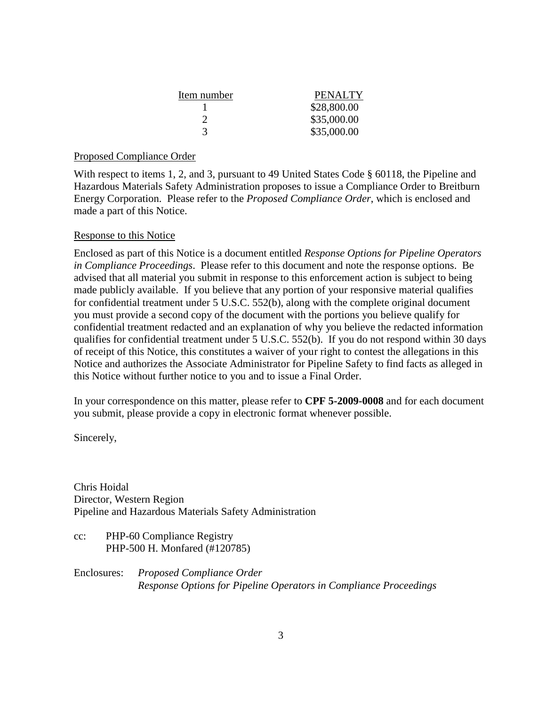| Item number | <b>PENALTY</b> |
|-------------|----------------|
|             | \$28,800.00    |
|             | \$35,000.00    |
| 3           | \$35,000.00    |

### Proposed Compliance Order

With respect to items 1, 2, and 3, pursuant to 49 United States Code § 60118, the Pipeline and Hazardous Materials Safety Administration proposes to issue a Compliance Order to Breitburn Energy Corporation. Please refer to the *Proposed Compliance Order*, which is enclosed and made a part of this Notice.

### Response to this Notice

Enclosed as part of this Notice is a document entitled *Response Options for Pipeline Operators in Compliance Proceedings*. Please refer to this document and note the response options. Be advised that all material you submit in response to this enforcement action is subject to being made publicly available. If you believe that any portion of your responsive material qualifies for confidential treatment under 5 U.S.C. 552(b), along with the complete original document you must provide a second copy of the document with the portions you believe qualify for confidential treatment redacted and an explanation of why you believe the redacted information qualifies for confidential treatment under 5 U.S.C. 552(b). If you do not respond within 30 days of receipt of this Notice, this constitutes a waiver of your right to contest the allegations in this Notice and authorizes the Associate Administrator for Pipeline Safety to find facts as alleged in this Notice without further notice to you and to issue a Final Order.

In your correspondence on this matter, please refer to **CPF 5-2009-0008** and for each document you submit, please provide a copy in electronic format whenever possible.

Sincerely,

Chris Hoidal Director, Western Region Pipeline and Hazardous Materials Safety Administration

cc: PHP-60 Compliance Registry PHP-500 H. Monfared (#120785)

Enclosures: *Proposed Compliance Order Response Options for Pipeline Operators in Compliance Proceedings*